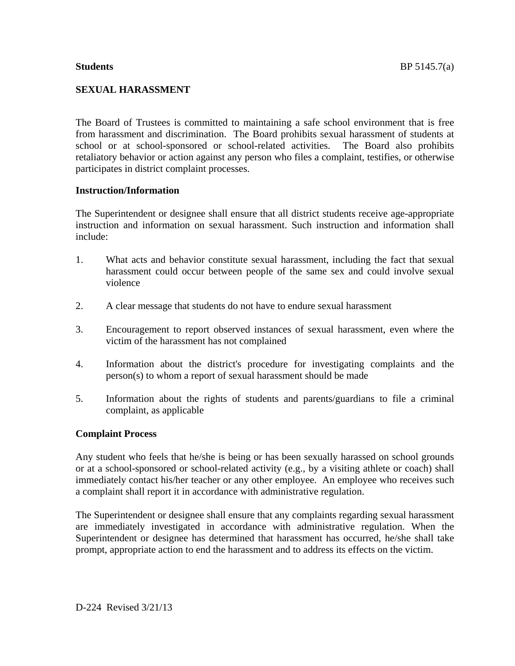The Board of Trustees is committed to maintaining a safe school environment that is free from harassment and discrimination. The Board prohibits sexual harassment of students at school or at school-sponsored or school-related activities. The Board also prohibits retaliatory behavior or action against any person who files a complaint, testifies, or otherwise participates in district complaint processes.

#### **Instruction/Information**

The Superintendent or designee shall ensure that all district students receive age-appropriate instruction and information on sexual harassment. Such instruction and information shall include:

- 1. What acts and behavior constitute sexual harassment, including the fact that sexual harassment could occur between people of the same sex and could involve sexual violence
- 2. A clear message that students do not have to endure sexual harassment
- 3. Encouragement to report observed instances of sexual harassment, even where the victim of the harassment has not complained
- 4. Information about the district's procedure for investigating complaints and the person(s) to whom a report of sexual harassment should be made
- 5. Information about the rights of students and parents/guardians to file a criminal complaint, as applicable

#### **Complaint Process**

Any student who feels that he/she is being or has been sexually harassed on school grounds or at a school-sponsored or school-related activity (e.g., by a visiting athlete or coach) shall immediately contact his/her teacher or any other employee. An employee who receives such a complaint shall report it in accordance with administrative regulation.

The Superintendent or designee shall ensure that any complaints regarding sexual harassment are immediately investigated in accordance with administrative regulation. When the Superintendent or designee has determined that harassment has occurred, he/she shall take prompt, appropriate action to end the harassment and to address its effects on the victim.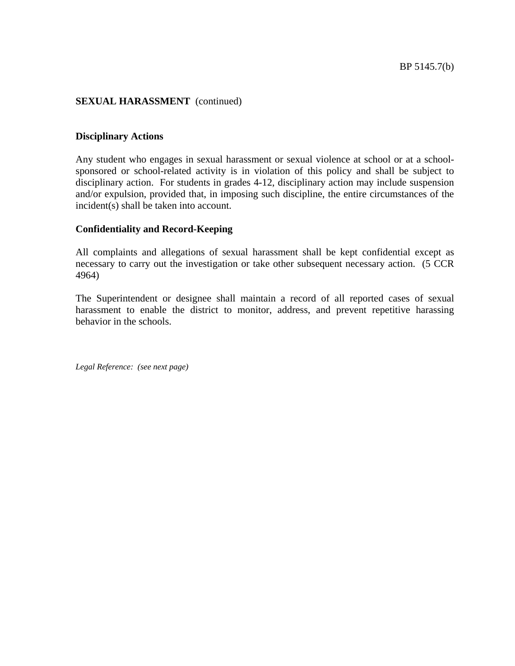#### **Disciplinary Actions**

Any student who engages in sexual harassment or sexual violence at school or at a schoolsponsored or school-related activity is in violation of this policy and shall be subject to disciplinary action. For students in grades 4-12, disciplinary action may include suspension and/or expulsion, provided that, in imposing such discipline, the entire circumstances of the incident(s) shall be taken into account.

#### **Confidentiality and Record-Keeping**

All complaints and allegations of sexual harassment shall be kept confidential except as necessary to carry out the investigation or take other subsequent necessary action. (5 CCR 4964)

The Superintendent or designee shall maintain a record of all reported cases of sexual harassment to enable the district to monitor, address, and prevent repetitive harassing behavior in the schools.

*Legal Reference: (see next page)*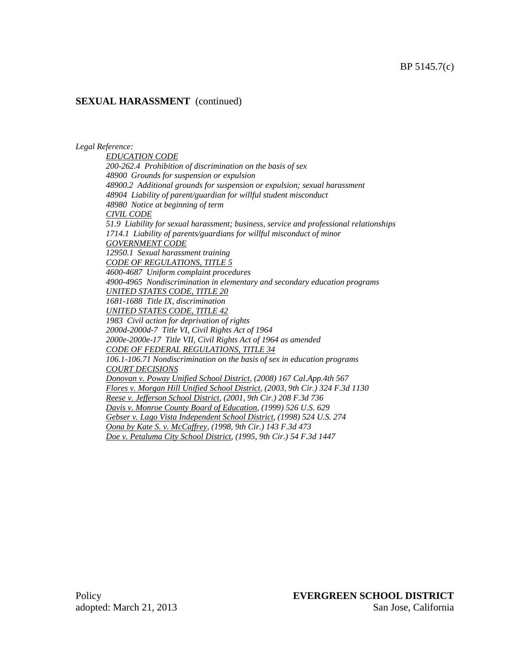#### *Legal Reference:*

*EDUCATION CODE 200-262.4 Prohibition of discrimination on the basis of sex 48900 Grounds for suspension or expulsion 48900.2 Additional grounds for suspension or expulsion; sexual harassment 48904 Liability of parent/guardian for willful student misconduct 48980 Notice at beginning of term CIVIL CODE 51.9 Liability for sexual harassment; business, service and professional relationships 1714.1 Liability of parents/guardians for willful misconduct of minor GOVERNMENT CODE 12950.1 Sexual harassment training CODE OF REGULATIONS, TITLE 5 4600-4687 Uniform complaint procedures 4900-4965 Nondiscrimination in elementary and secondary education programs UNITED STATES CODE, TITLE 20 1681-1688 Title IX, discrimination UNITED STATES CODE, TITLE 42 1983 Civil action for deprivation of rights 2000d-2000d-7 Title VI, Civil Rights Act of 1964 2000e-2000e-17 Title VII, Civil Rights Act of 1964 as amended CODE OF FEDERAL REGULATIONS, TITLE 34 106.1-106.71 Nondiscrimination on the basis of sex in education programs COURT DECISIONS Donovan v. Poway Unified School District, (2008) 167 Cal.App.4th 567 Flores v. Morgan Hill Unified School District, (2003, 9th Cir.) 324 F.3d 1130 Reese v. Jefferson School District, (2001, 9th Cir.) 208 F.3d 736 Davis v. Monroe County Board of Education, (1999) 526 U.S. 629 Gebser v. Lago Vista Independent School District, (1998) 524 U.S. 274 Oona by Kate S. v. McCaffrey, (1998, 9th Cir.) 143 F.3d 473 Doe v. Petaluma City School District, (1995, 9th Cir.) 54 F.3d 1447*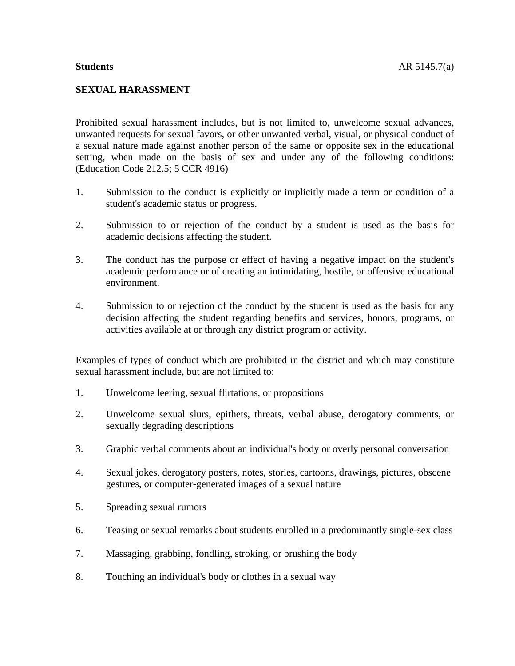#### **SEXUAL HARASSMENT**

Prohibited sexual harassment includes, but is not limited to, unwelcome sexual advances, unwanted requests for sexual favors, or other unwanted verbal, visual, or physical conduct of a sexual nature made against another person of the same or opposite sex in the educational setting, when made on the basis of sex and under any of the following conditions: (Education Code 212.5; 5 CCR 4916)

- 1. Submission to the conduct is explicitly or implicitly made a term or condition of a student's academic status or progress.
- 2. Submission to or rejection of the conduct by a student is used as the basis for academic decisions affecting the student.
- 3. The conduct has the purpose or effect of having a negative impact on the student's academic performance or of creating an intimidating, hostile, or offensive educational environment.
- 4. Submission to or rejection of the conduct by the student is used as the basis for any decision affecting the student regarding benefits and services, honors, programs, or activities available at or through any district program or activity.

Examples of types of conduct which are prohibited in the district and which may constitute sexual harassment include, but are not limited to:

- 1. Unwelcome leering, sexual flirtations, or propositions
- 2. Unwelcome sexual slurs, epithets, threats, verbal abuse, derogatory comments, or sexually degrading descriptions
- 3. Graphic verbal comments about an individual's body or overly personal conversation
- 4. Sexual jokes, derogatory posters, notes, stories, cartoons, drawings, pictures, obscene gestures, or computer-generated images of a sexual nature
- 5. Spreading sexual rumors
- 6. Teasing or sexual remarks about students enrolled in a predominantly single-sex class
- 7. Massaging, grabbing, fondling, stroking, or brushing the body
- 8. Touching an individual's body or clothes in a sexual way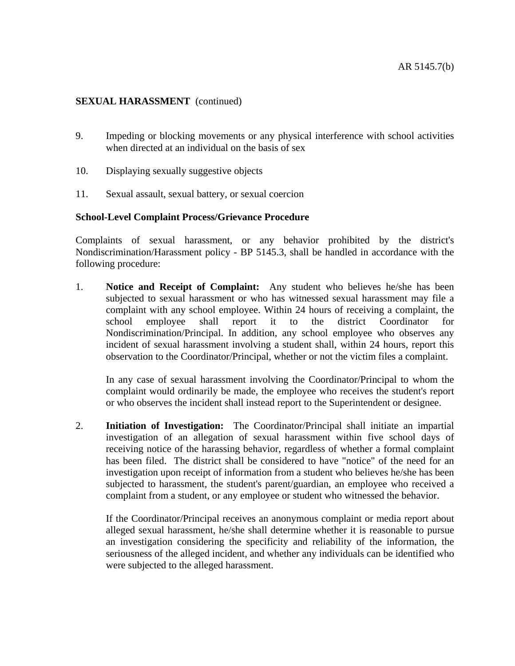- 9. Impeding or blocking movements or any physical interference with school activities when directed at an individual on the basis of sex
- 10. Displaying sexually suggestive objects
- 11. Sexual assault, sexual battery, or sexual coercion

#### **School-Level Complaint Process/Grievance Procedure**

Complaints of sexual harassment, or any behavior prohibited by the district's Nondiscrimination/Harassment policy - BP 5145.3, shall be handled in accordance with the following procedure:

1. **Notice and Receipt of Complaint:** Any student who believes he/she has been subjected to sexual harassment or who has witnessed sexual harassment may file a complaint with any school employee. Within 24 hours of receiving a complaint, the school employee shall report it to the district Coordinator for Nondiscrimination/Principal. In addition, any school employee who observes any incident of sexual harassment involving a student shall, within 24 hours, report this observation to the Coordinator/Principal, whether or not the victim files a complaint.

In any case of sexual harassment involving the Coordinator/Principal to whom the complaint would ordinarily be made, the employee who receives the student's report or who observes the incident shall instead report to the Superintendent or designee.

2. **Initiation of Investigation:** The Coordinator/Principal shall initiate an impartial investigation of an allegation of sexual harassment within five school days of receiving notice of the harassing behavior, regardless of whether a formal complaint has been filed. The district shall be considered to have "notice" of the need for an investigation upon receipt of information from a student who believes he/she has been subjected to harassment, the student's parent/guardian, an employee who received a complaint from a student, or any employee or student who witnessed the behavior.

 If the Coordinator/Principal receives an anonymous complaint or media report about alleged sexual harassment, he/she shall determine whether it is reasonable to pursue an investigation considering the specificity and reliability of the information, the seriousness of the alleged incident, and whether any individuals can be identified who were subjected to the alleged harassment.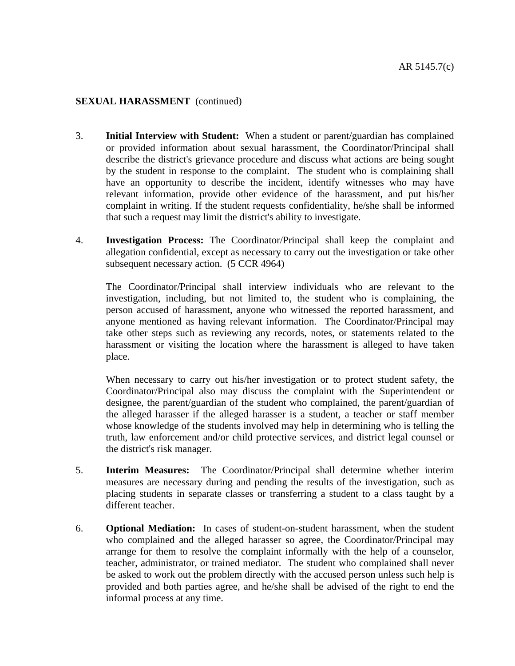- 3. **Initial Interview with Student:** When a student or parent/guardian has complained or provided information about sexual harassment, the Coordinator/Principal shall describe the district's grievance procedure and discuss what actions are being sought by the student in response to the complaint. The student who is complaining shall have an opportunity to describe the incident, identify witnesses who may have relevant information, provide other evidence of the harassment, and put his/her complaint in writing. If the student requests confidentiality, he/she shall be informed that such a request may limit the district's ability to investigate.
- 4. **Investigation Process:** The Coordinator/Principal shall keep the complaint and allegation confidential, except as necessary to carry out the investigation or take other subsequent necessary action. (5 CCR 4964)

 The Coordinator/Principal shall interview individuals who are relevant to the investigation, including, but not limited to, the student who is complaining, the person accused of harassment, anyone who witnessed the reported harassment, and anyone mentioned as having relevant information. The Coordinator/Principal may take other steps such as reviewing any records, notes, or statements related to the harassment or visiting the location where the harassment is alleged to have taken place.

When necessary to carry out his/her investigation or to protect student safety, the Coordinator/Principal also may discuss the complaint with the Superintendent or designee, the parent/guardian of the student who complained, the parent/guardian of the alleged harasser if the alleged harasser is a student, a teacher or staff member whose knowledge of the students involved may help in determining who is telling the truth, law enforcement and/or child protective services, and district legal counsel or the district's risk manager.

- 5. **Interim Measures:** The Coordinator/Principal shall determine whether interim measures are necessary during and pending the results of the investigation, such as placing students in separate classes or transferring a student to a class taught by a different teacher.
- 6. **Optional Mediation:** In cases of student-on-student harassment, when the student who complained and the alleged harasser so agree, the Coordinator/Principal may arrange for them to resolve the complaint informally with the help of a counselor, teacher, administrator, or trained mediator. The student who complained shall never be asked to work out the problem directly with the accused person unless such help is provided and both parties agree, and he/she shall be advised of the right to end the informal process at any time.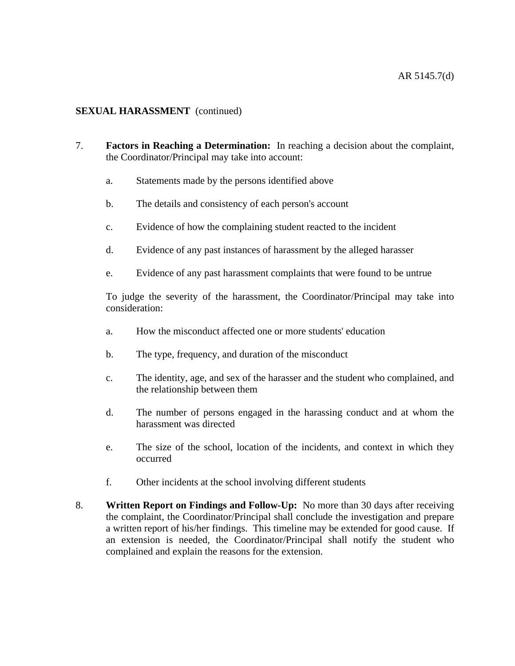- 7. **Factors in Reaching a Determination:** In reaching a decision about the complaint, the Coordinator/Principal may take into account:
	- a. Statements made by the persons identified above
	- b. The details and consistency of each person's account
	- c. Evidence of how the complaining student reacted to the incident
	- d. Evidence of any past instances of harassment by the alleged harasser
	- e. Evidence of any past harassment complaints that were found to be untrue

To judge the severity of the harassment, the Coordinator/Principal may take into consideration:

- a. How the misconduct affected one or more students' education
- b. The type, frequency, and duration of the misconduct
- c. The identity, age, and sex of the harasser and the student who complained, and the relationship between them
- d. The number of persons engaged in the harassing conduct and at whom the harassment was directed
- e. The size of the school, location of the incidents, and context in which they occurred
- f. Other incidents at the school involving different students
- 8. **Written Report on Findings and Follow-Up:** No more than 30 days after receiving the complaint, the Coordinator/Principal shall conclude the investigation and prepare a written report of his/her findings. This timeline may be extended for good cause. If an extension is needed, the Coordinator/Principal shall notify the student who complained and explain the reasons for the extension.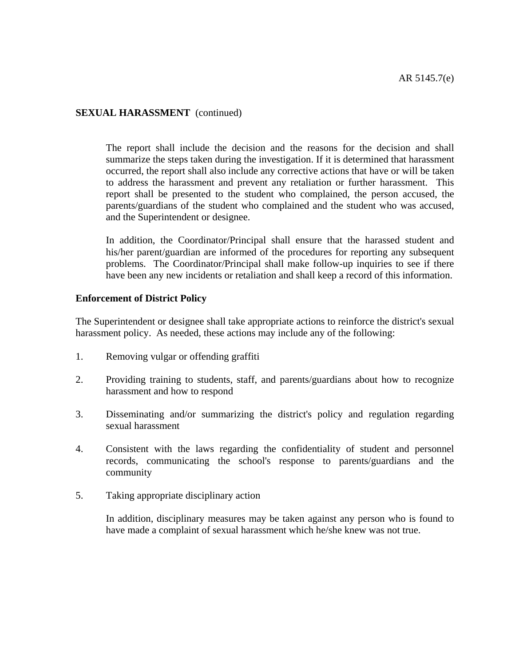The report shall include the decision and the reasons for the decision and shall summarize the steps taken during the investigation. If it is determined that harassment occurred, the report shall also include any corrective actions that have or will be taken to address the harassment and prevent any retaliation or further harassment. This report shall be presented to the student who complained, the person accused, the parents/guardians of the student who complained and the student who was accused, and the Superintendent or designee.

 In addition, the Coordinator/Principal shall ensure that the harassed student and his/her parent/guardian are informed of the procedures for reporting any subsequent problems. The Coordinator/Principal shall make follow-up inquiries to see if there have been any new incidents or retaliation and shall keep a record of this information.

#### **Enforcement of District Policy**

The Superintendent or designee shall take appropriate actions to reinforce the district's sexual harassment policy. As needed, these actions may include any of the following:

- 1. Removing vulgar or offending graffiti
- 2. Providing training to students, staff, and parents/guardians about how to recognize harassment and how to respond
- 3. Disseminating and/or summarizing the district's policy and regulation regarding sexual harassment
- 4. Consistent with the laws regarding the confidentiality of student and personnel records, communicating the school's response to parents/guardians and the community
- 5. Taking appropriate disciplinary action

 In addition, disciplinary measures may be taken against any person who is found to have made a complaint of sexual harassment which he/she knew was not true.